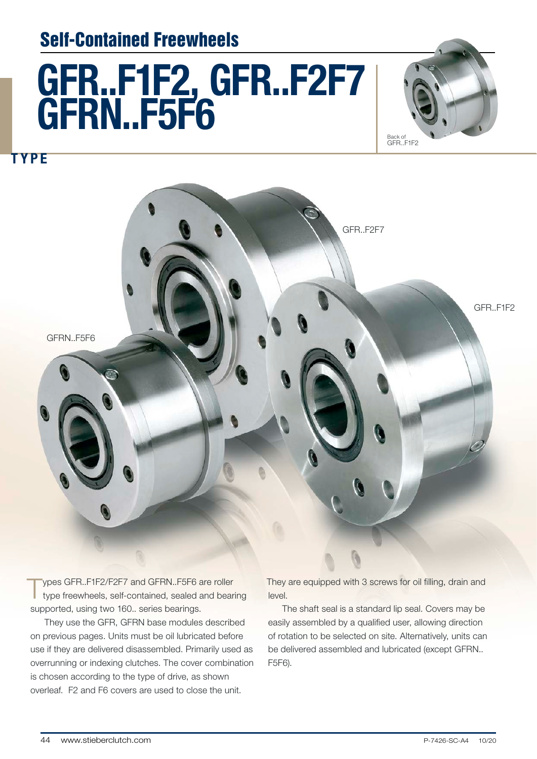## Self-Contained Freewheels

# GFR..F1F2, GFR..F2F7 GFRN..F5F6



TYPE



Types GFR..F1F2/F2F7 and GFRN..F5F6 are roller<br>type freewheels, self-contained, sealed and bearing supported, using two 160.. series bearings.

They use the GFR, GFRN base modules described on previous pages. Units must be oil lubricated before use if they are delivered disassembled. Primarily used as overrunning or indexing clutches. The cover combination is chosen according to the type of drive, as shown overleaf. F2 and F6 covers are used to close the unit.

They are equipped with 3 screws for oil filling, drain and level.

The shaft seal is a standard lip seal. Covers may be easily assembled by a qualified user, allowing direction of rotation to be selected on site. Alternatively, units can be delivered assembled and lubricated (except GFRN.. F5F6).